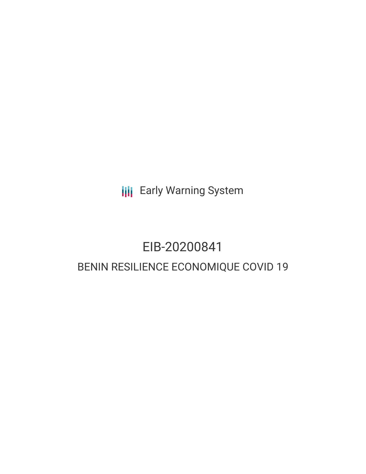**III** Early Warning System

## EIB-20200841 BENIN RESILIENCE ECONOMIQUE COVID 19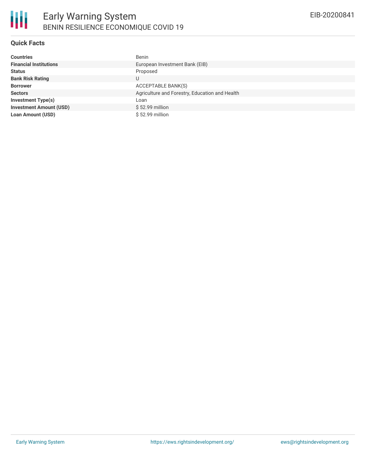

#### **Quick Facts**

| <b>Countries</b>               | Benin                                          |
|--------------------------------|------------------------------------------------|
| <b>Financial Institutions</b>  | European Investment Bank (EIB)                 |
| <b>Status</b>                  | Proposed                                       |
| <b>Bank Risk Rating</b>        | U                                              |
| <b>Borrower</b>                | ACCEPTABLE BANK(S)                             |
| <b>Sectors</b>                 | Agriculture and Forestry, Education and Health |
| <b>Investment Type(s)</b>      | Loan                                           |
| <b>Investment Amount (USD)</b> | \$52.99 million                                |
| <b>Loan Amount (USD)</b>       | \$52.99 million                                |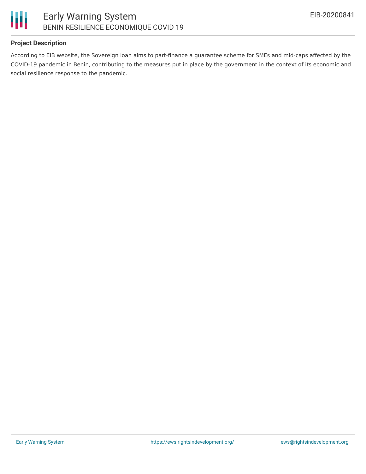

#### **Project Description**

According to EIB website, the Sovereign loan aims to part-finance a guarantee scheme for SMEs and mid-caps affected by the COVID-19 pandemic in Benin, contributing to the measures put in place by the government in the context of its economic and social resilience response to the pandemic.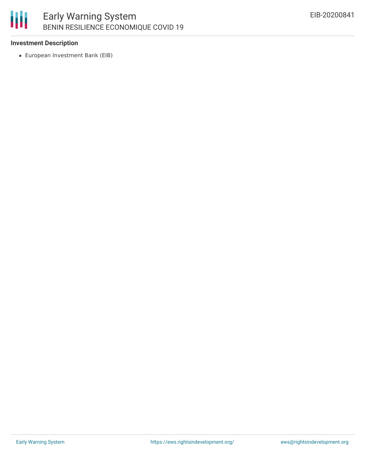#### 圃 Early Warning System BENIN RESILIENCE ECONOMIQUE COVID 19

#### **Investment Description**

European Investment Bank (EIB)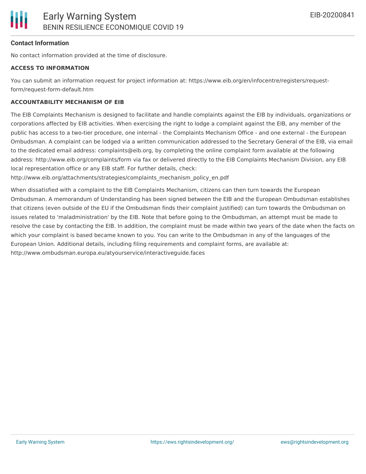#### **Contact Information**

No contact information provided at the time of disclosure.

#### **ACCESS TO INFORMATION**

You can submit an information request for project information at: https://www.eib.org/en/infocentre/registers/requestform/request-form-default.htm

#### **ACCOUNTABILITY MECHANISM OF EIB**

The EIB Complaints Mechanism is designed to facilitate and handle complaints against the EIB by individuals, organizations or corporations affected by EIB activities. When exercising the right to lodge a complaint against the EIB, any member of the public has access to a two-tier procedure, one internal - the Complaints Mechanism Office - and one external - the European Ombudsman. A complaint can be lodged via a written communication addressed to the Secretary General of the EIB, via email to the dedicated email address: complaints@eib.org, by completing the online complaint form available at the following address: http://www.eib.org/complaints/form via fax or delivered directly to the EIB Complaints Mechanism Division, any EIB local representation office or any EIB staff. For further details, check:

http://www.eib.org/attachments/strategies/complaints\_mechanism\_policy\_en.pdf

When dissatisfied with a complaint to the EIB Complaints Mechanism, citizens can then turn towards the European Ombudsman. A memorandum of Understanding has been signed between the EIB and the European Ombudsman establishes that citizens (even outside of the EU if the Ombudsman finds their complaint justified) can turn towards the Ombudsman on issues related to 'maladministration' by the EIB. Note that before going to the Ombudsman, an attempt must be made to resolve the case by contacting the EIB. In addition, the complaint must be made within two years of the date when the facts on which your complaint is based became known to you. You can write to the Ombudsman in any of the languages of the European Union. Additional details, including filing requirements and complaint forms, are available at: http://www.ombudsman.europa.eu/atyourservice/interactiveguide.faces